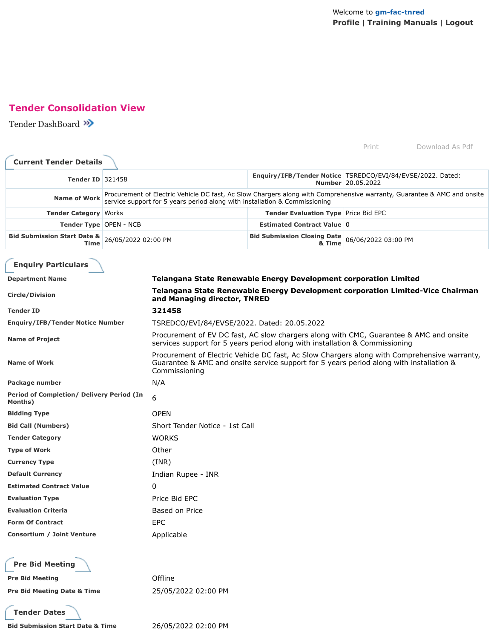# **Tender Consolidation View**

Tender DashBoard

|                                                      |                     |                                                                                                                                                                                                          |                                                                                | Print               | Download As Pdf |
|------------------------------------------------------|---------------------|----------------------------------------------------------------------------------------------------------------------------------------------------------------------------------------------------------|--------------------------------------------------------------------------------|---------------------|-----------------|
| <b>Current Tender Details</b>                        |                     |                                                                                                                                                                                                          |                                                                                |                     |                 |
| <b>Tender ID 321458</b>                              |                     |                                                                                                                                                                                                          | Enquiry/IFB/Tender Notice   TSREDCO/EVI/84/EVSE/2022. Dated:                   | Number 20.05.2022   |                 |
| <b>Name of Work</b>                                  |                     | Procurement of Electric Vehicle DC fast, Ac Slow Chargers along with Comprehensive warranty, Guarantee & AMC and onsite<br>service support for 5 years period along with installation & Commissioning    |                                                                                |                     |                 |
| <b>Tender Category   Works</b>                       |                     |                                                                                                                                                                                                          | <b>Tender Evaluation Type Price Bid EPC</b>                                    |                     |                 |
| Tender Type   OPEN - NCB                             |                     |                                                                                                                                                                                                          | <b>Estimated Contract Value 0</b>                                              |                     |                 |
| <b>Bid Submission Start Date &amp;</b><br>Time       | 26/05/2022 02:00 PM |                                                                                                                                                                                                          | <b>Bid Submission Closing Date</b><br>& Time                                   | 06/06/2022 03:00 PM |                 |
| <b>Enquiry Particulars</b>                           |                     |                                                                                                                                                                                                          |                                                                                |                     |                 |
| <b>Department Name</b>                               |                     |                                                                                                                                                                                                          | <b>Telangana State Renewable Energy Development corporation Limited</b>        |                     |                 |
| <b>Circle/Division</b>                               |                     | and Managing director, TNRED                                                                                                                                                                             | Telangana State Renewable Energy Development corporation Limited-Vice Chairman |                     |                 |
| <b>Tender ID</b>                                     |                     | 321458                                                                                                                                                                                                   |                                                                                |                     |                 |
| <b>Enquiry/IFB/Tender Notice Number</b>              |                     | TSREDCO/EVI/84/EVSE/2022. Dated: 20.05.2022                                                                                                                                                              |                                                                                |                     |                 |
| <b>Name of Project</b>                               |                     | Procurement of EV DC fast, AC slow chargers along with CMC, Guarantee & AMC and onsite<br>services support for 5 years period along with installation & Commissioning                                    |                                                                                |                     |                 |
| <b>Name of Work</b>                                  |                     | Procurement of Electric Vehicle DC fast, Ac Slow Chargers along with Comprehensive warranty,<br>Guarantee & AMC and onsite service support for 5 years period along with installation &<br>Commissioning |                                                                                |                     |                 |
| Package number                                       |                     | N/A                                                                                                                                                                                                      |                                                                                |                     |                 |
| Period of Completion/ Delivery Period (In<br>Months) |                     | 6                                                                                                                                                                                                        |                                                                                |                     |                 |
| <b>Bidding Type</b>                                  |                     | <b>OPEN</b>                                                                                                                                                                                              |                                                                                |                     |                 |
| <b>Bid Call (Numbers)</b>                            |                     | Short Tender Notice - 1st Call                                                                                                                                                                           |                                                                                |                     |                 |
| <b>Tender Category</b>                               |                     | <b>WORKS</b>                                                                                                                                                                                             |                                                                                |                     |                 |
| <b>Type of Work</b>                                  |                     | Other                                                                                                                                                                                                    |                                                                                |                     |                 |
| <b>Currency Type</b>                                 |                     | (INR)                                                                                                                                                                                                    |                                                                                |                     |                 |
| <b>Default Currency</b>                              |                     | Indian Rupee - INR                                                                                                                                                                                       |                                                                                |                     |                 |
| <b>Estimated Contract Value</b>                      |                     | 0                                                                                                                                                                                                        |                                                                                |                     |                 |
| <b>Evaluation Type</b>                               |                     | Price Bid EPC                                                                                                                                                                                            |                                                                                |                     |                 |
| <b>Evaluation Criteria</b>                           |                     | Based on Price                                                                                                                                                                                           |                                                                                |                     |                 |
| <b>Form Of Contract</b>                              |                     | <b>EPC</b>                                                                                                                                                                                               |                                                                                |                     |                 |
| Consortium / Joint Venture                           |                     | Applicable                                                                                                                                                                                               |                                                                                |                     |                 |
| <b>Pre Bid Meeting</b>                               |                     |                                                                                                                                                                                                          |                                                                                |                     |                 |
| <b>Pre Bid Meeting</b>                               |                     | Offline                                                                                                                                                                                                  |                                                                                |                     |                 |
| <b>Pre Bid Meeting Date &amp; Time</b>               |                     | 25/05/2022 02:00 PM                                                                                                                                                                                      |                                                                                |                     |                 |
| <b>Tender Dates</b>                                  |                     |                                                                                                                                                                                                          |                                                                                |                     |                 |
| <b>Bid Submission Start Date &amp; Time</b>          |                     | 26/05/2022 02:00 PM                                                                                                                                                                                      |                                                                                |                     |                 |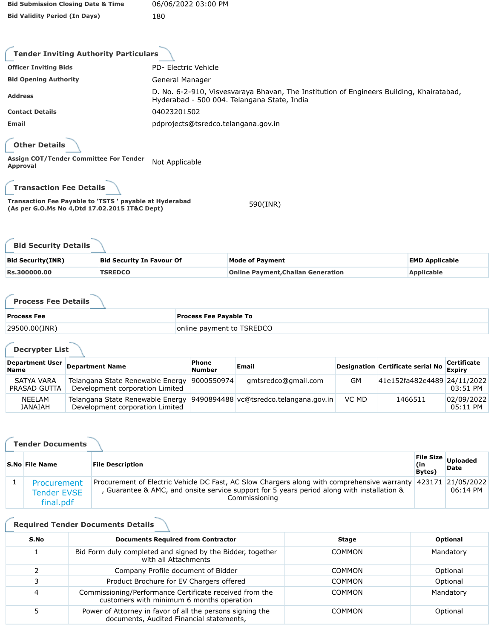| <b>Bid Submission Closing Date &amp; Time</b> | 06/06/2022 03:00 PM |
|-----------------------------------------------|---------------------|
| <b>Bid Validity Period (In Days)</b>          | 180                 |

| <b>Tender Inviting Authority Particulars</b>                                                              |                                                                                                                                         |
|-----------------------------------------------------------------------------------------------------------|-----------------------------------------------------------------------------------------------------------------------------------------|
| <b>Officer Inviting Bids</b>                                                                              | PD- Electric Vehicle                                                                                                                    |
| <b>Bid Opening Authority</b>                                                                              | General Manager                                                                                                                         |
| <b>Address</b>                                                                                            | D. No. 6-2-910, Visvesvaraya Bhavan, The Institution of Engineers Building, Khairatabad,<br>Hyderabad - 500 004. Telangana State, India |
| <b>Contact Details</b>                                                                                    | 04023201502                                                                                                                             |
| Email                                                                                                     | pdprojects@tsredco.telangana.gov.in                                                                                                     |
| <b>Other Details</b>                                                                                      |                                                                                                                                         |
| Assign COT/Tender Committee For Tender<br>Approval                                                        | Not Applicable                                                                                                                          |
| <b>Transaction Fee Details</b>                                                                            |                                                                                                                                         |
| Transaction Fee Payable to 'TSTS ' payable at Hyderabad<br>(As per G.O.Ms No 4, Dtd 17.02.2015 IT&C Dept) | 590(INR)                                                                                                                                |

| <b>Bid Security Details</b> |                                  |                                           |                       |  |
|-----------------------------|----------------------------------|-------------------------------------------|-----------------------|--|
| <b>Bid Security (INR)</b>   | <b>Bid Security In Favour Of</b> | <b>Mode of Payment</b>                    | <b>EMD Applicable</b> |  |
| <b>Rs.300000.00</b>         | <b>TSREDCO</b>                   | <b>Online Payment, Challan Generation</b> | <b>Applicable</b>     |  |

**Process Fee Details**

| <b>Process Fee</b> | <b>Process Fee Payable To</b> |
|--------------------|-------------------------------|
| $ 29500.00$ (INR)  | online payment to TSREDCO     |

**Decrypter List**

| <b>Department User</b><br><b>Name</b> | <b>Department Name</b>                                              | Phone<br><b>Number</b> | Email                                  |           | Designation Certificate serial No | <b>Certificate</b><br><b>Expiry</b> |
|---------------------------------------|---------------------------------------------------------------------|------------------------|----------------------------------------|-----------|-----------------------------------|-------------------------------------|
| SATYA VARA<br>PRASAD GUTTA            | Telangana State Renewable Energy<br>Development corporation Limited | 9000550974             | gmtsredco@gmail.com                    | <b>GM</b> | 41e152fa482e4489 24/11/2022       | 03:51 PM                            |
| <b>NEELAM</b><br><b>JANAIAH</b>       | Telangana State Renewable Energy<br>Development corporation Limited |                        | 9490894488 vc@tsredco.telangana.gov.in | VC MD     | 1466511                           | 02/09/2022<br>05:11 PM              |

| <b>Tender Documents</b>                        |                                                                                                                                                                                                                              |                                    |                         |  |  |  |
|------------------------------------------------|------------------------------------------------------------------------------------------------------------------------------------------------------------------------------------------------------------------------------|------------------------------------|-------------------------|--|--|--|
| <b>S.No File Name</b>                          | <b>File Description</b>                                                                                                                                                                                                      | File Size<br>(in<br><b>Bytes</b> ) | <b>Uploaded</b><br>Date |  |  |  |
| Procurement<br><b>Tender EVSE</b><br>final.pdf | Procurement of Electric Vehicle DC Fast, AC Slow Chargers along with comprehensive warranty 423171 21/05/2022<br>, Guarantee & AMC, and onsite service support for 5 years period along with installation &<br>Commissioning |                                    | 06:14 PM                |  |  |  |

## **Required Tender Documents Details**

| S.No | <b>Documents Required from Contractor</b>                                                             | Stage         | <b>Optional</b> |
|------|-------------------------------------------------------------------------------------------------------|---------------|-----------------|
|      | Bid Form duly completed and signed by the Bidder, together<br>with all Attachments                    | <b>COMMON</b> | Mandatory       |
|      | Company Profile document of Bidder                                                                    | <b>COMMON</b> | Optional        |
|      | Product Brochure for EV Chargers offered                                                              | <b>COMMON</b> | Optional        |
| 4    | Commissioning/Performance Certificate received from the<br>customers with minimum 6 months operation  | <b>COMMON</b> | Mandatory       |
|      | Power of Attorney in favor of all the persons signing the<br>documents, Audited Financial statements, | <b>COMMON</b> | Optional        |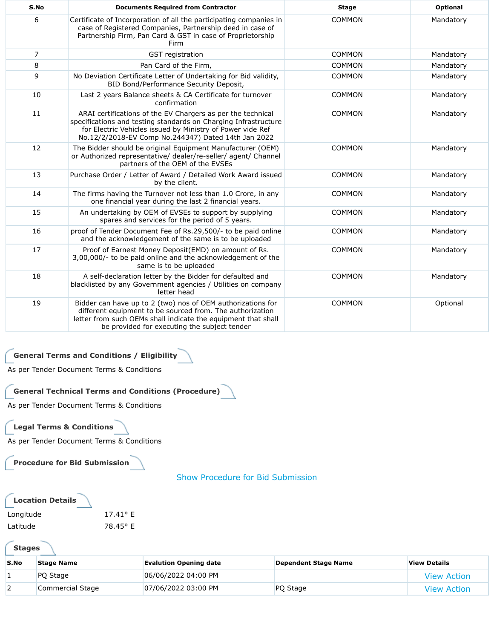| S.No | <b>Documents Required from Contractor</b>                                                                                                                                                                                                           | <b>Stage</b>  | <b>Optional</b> |
|------|-----------------------------------------------------------------------------------------------------------------------------------------------------------------------------------------------------------------------------------------------------|---------------|-----------------|
| 6    | Certificate of Incorporation of all the participating companies in<br>case of Registered Companies, Partnership deed in case of<br>Partnership Firm, Pan Card & GST in case of Proprietorship<br>Firm                                               | <b>COMMON</b> | Mandatory       |
| 7    | GST registration                                                                                                                                                                                                                                    | <b>COMMON</b> | Mandatory       |
| 8    | Pan Card of the Firm,                                                                                                                                                                                                                               | <b>COMMON</b> | Mandatory       |
| 9    | No Deviation Certificate Letter of Undertaking for Bid validity,<br>BID Bond/Performance Security Deposit,                                                                                                                                          | <b>COMMON</b> | Mandatory       |
| 10   | Last 2 years Balance sheets & CA Certificate for turnover<br>confirmation                                                                                                                                                                           | <b>COMMON</b> | Mandatory       |
| 11   | ARAI certifications of the EV Chargers as per the technical<br>specifications and testing standards on Charging Infrastructure<br>for Electric Vehicles issued by Ministry of Power vide Ref<br>No.12/2/2018-EV Comp No.244347) Dated 14th Jan 2022 | <b>COMMON</b> | Mandatory       |
| 12   | The Bidder should be original Equipment Manufacturer (OEM)<br>or Authorized representative/ dealer/re-seller/ agent/ Channel<br>partners of the OEM of the EVSEs                                                                                    | <b>COMMON</b> | Mandatory       |
| 13   | Purchase Order / Letter of Award / Detailed Work Award issued<br>by the client.                                                                                                                                                                     | <b>COMMON</b> | Mandatory       |
| 14   | The firms having the Turnover not less than 1.0 Crore, in any<br>one financial year during the last 2 financial years.                                                                                                                              | <b>COMMON</b> | Mandatory       |
| 15   | An undertaking by OEM of EVSEs to support by supplying<br>spares and services for the period of 5 years.                                                                                                                                            | <b>COMMON</b> | Mandatory       |
| 16   | proof of Tender Document Fee of Rs.29,500/- to be paid online<br>and the acknowledgement of the same is to be uploaded                                                                                                                              | <b>COMMON</b> | Mandatory       |
| 17   | Proof of Earnest Money Deposit(EMD) on amount of Rs.<br>3,00,000/- to be paid online and the acknowledgement of the<br>same is to be uploaded                                                                                                       | <b>COMMON</b> | Mandatory       |
| 18   | A self-declaration letter by the Bidder for defaulted and<br>blacklisted by any Government agencies / Utilities on company<br>letter head                                                                                                           | <b>COMMON</b> | Mandatory       |
| 19   | Bidder can have up to 2 (two) nos of OEM authorizations for<br>different equipment to be sourced from. The authorization<br>letter from such OEMs shall indicate the equipment that shall<br>be provided for executing the subject tender           | <b>COMMON</b> | Optional        |

## **General Terms and Conditions / Eligibility**

As per Tender Document Terms & Conditions

#### **General Technical Terms and Conditions (Procedure)**

As per Tender Document Terms & Conditions

#### **Legal Terms & Conditions**

As per Tender Document Terms & Conditions

**Procedure for Bid Submission**

Show Procedure for Bid Submission

| <b>Location Details</b> |                   |
|-------------------------|-------------------|
| Longitude               | $17.41^{\circ}$ F |
| Latitude                | 78.45° E          |

**Stages**

| S.No | <b>Stage Name</b> | <b>Evalution Opening date</b> | Dependent Stage Name | <b>View Details</b> |
|------|-------------------|-------------------------------|----------------------|---------------------|
|      | PO Stage          | 06/06/2022 04:00 PM           |                      | <b>View Action</b>  |
|      | Commercial Stage  | 07/06/2022 03:00 PM           | PQ Stage             | <b>View Action</b>  |